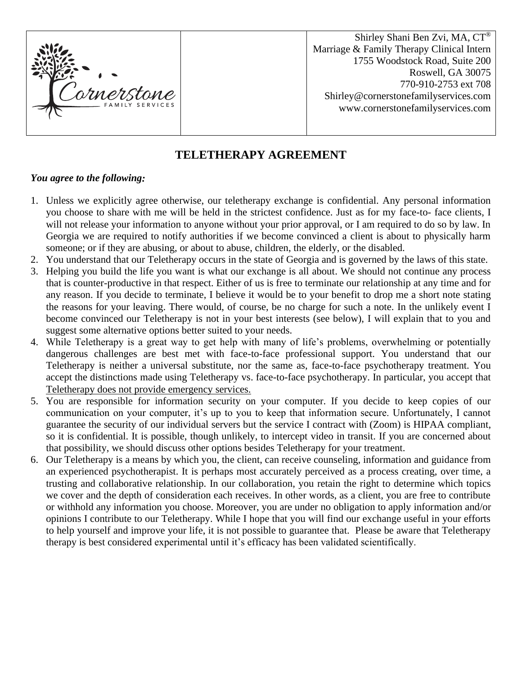

Shirley Shani Ben Zvi, MA, CT® Marriage & Family Therapy Clinical Intern 1755 Woodstock Road, Suite 200 Roswell, GA 30075 770-910-2753 ext 708 Shirley@cornerstonefamilyservices.com www.cornerstonefamilyservices.com

## **TELETHERAPY AGREEMENT**

## *You agree to the following:*

- 1. Unless we explicitly agree otherwise, our teletherapy exchange is confidential. Any personal information you choose to share with me will be held in the strictest confidence. Just as for my face-to- face clients, I will not release your information to anyone without your prior approval, or I am required to do so by law. In Georgia we are required to notify authorities if we become convinced a client is about to physically harm someone; or if they are abusing, or about to abuse, children, the elderly, or the disabled.
- 2. You understand that our Teletherapy occurs in the state of Georgia and is governed by the laws of this state.
- 3. Helping you build the life you want is what our exchange is all about. We should not continue any process that is counter-productive in that respect. Either of us is free to terminate our relationship at any time and for any reason. If you decide to terminate, I believe it would be to your benefit to drop me a short note stating the reasons for your leaving. There would, of course, be no charge for such a note. In the unlikely event I become convinced our Teletherapy is not in your best interests (see below), I will explain that to you and suggest some alternative options better suited to your needs.
- 4. While Teletherapy is a great way to get help with many of life's problems, overwhelming or potentially dangerous challenges are best met with face-to-face professional support. You understand that our Teletherapy is neither a universal substitute, nor the same as, face-to-face psychotherapy treatment. You accept the distinctions made using Teletherapy vs. face-to-face psychotherapy. In particular, you accept that Teletherapy does not provide emergency services.
- 5. You are responsible for information security on your computer. If you decide to keep copies of our communication on your computer, it's up to you to keep that information secure. Unfortunately, I cannot guarantee the security of our individual servers but the service I contract with (Zoom) is HIPAA compliant, so it is confidential. It is possible, though unlikely, to intercept video in transit. If you are concerned about that possibility, we should discuss other options besides Teletherapy for your treatment.
- 6. Our Teletherapy is a means by which you, the client, can receive counseling, information and guidance from an experienced psychotherapist. It is perhaps most accurately perceived as a process creating, over time, a trusting and collaborative relationship. In our collaboration, you retain the right to determine which topics we cover and the depth of consideration each receives. In other words, as a client, you are free to contribute or withhold any information you choose. Moreover, you are under no obligation to apply information and/or opinions I contribute to our Teletherapy. While I hope that you will find our exchange useful in your efforts to help yourself and improve your life, it is not possible to guarantee that. Please be aware that Teletherapy therapy is best considered experimental until it's efficacy has been validated scientifically.